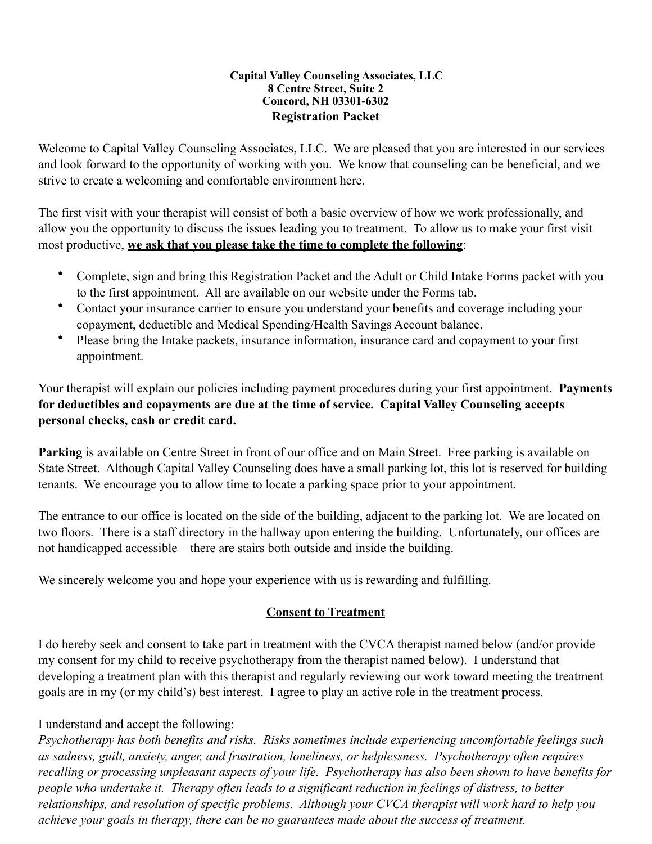#### **Capital Valley Counseling Associates, LLC 8 Centre Street, Suite 2 Concord, NH 03301-6302 Registration Packet**

Welcome to Capital Valley Counseling Associates, LLC. We are pleased that you are interested in our services and look forward to the opportunity of working with you. We know that counseling can be beneficial, and we strive to create a welcoming and comfortable environment here.

The first visit with your therapist will consist of both a basic overview of how we work professionally, and allow you the opportunity to discuss the issues leading you to treatment. To allow us to make your first visit most productive, **we ask that you please take the time to complete the following**:

- Complete, sign and bring this Registration Packet and the Adult or Child Intake Forms packet with you to the first appointment. All are available on our website under the Forms tab.
- Contact your insurance carrier to ensure you understand your benefits and coverage including your copayment, deductible and Medical Spending/Health Savings Account balance.
- Please bring the Intake packets, insurance information, insurance card and copayment to your first appointment.

Your therapist will explain our policies including payment procedures during your first appointment. **Payments for deductibles and copayments are due at the time of service. Capital Valley Counseling accepts personal checks, cash or credit card.** 

**Parking** is available on Centre Street in front of our office and on Main Street. Free parking is available on State Street. Although Capital Valley Counseling does have a small parking lot, this lot is reserved for building tenants. We encourage you to allow time to locate a parking space prior to your appointment.

The entrance to our office is located on the side of the building, adjacent to the parking lot. We are located on two floors. There is a staff directory in the hallway upon entering the building. Unfortunately, our offices are not handicapped accessible – there are stairs both outside and inside the building.

We sincerely welcome you and hope your experience with us is rewarding and fulfilling.

## **Consent to Treatment**

I do hereby seek and consent to take part in treatment with the CVCA therapist named below (and/or provide my consent for my child to receive psychotherapy from the therapist named below). I understand that developing a treatment plan with this therapist and regularly reviewing our work toward meeting the treatment goals are in my (or my child's) best interest. I agree to play an active role in the treatment process.

## I understand and accept the following:

*Psychotherapy has both benefits and risks. Risks sometimes include experiencing uncomfortable feelings such as sadness, guilt, anxiety, anger, and frustration, loneliness, or helplessness. Psychotherapy often requires recalling or processing unpleasant aspects of your life. Psychotherapy has also been shown to have benefits for people who undertake it. Therapy often leads to a significant reduction in feelings of distress, to better relationships, and resolution of specific problems. Although your CVCA therapist will work hard to help you achieve your goals in therapy, there can be no guarantees made about the success of treatment.*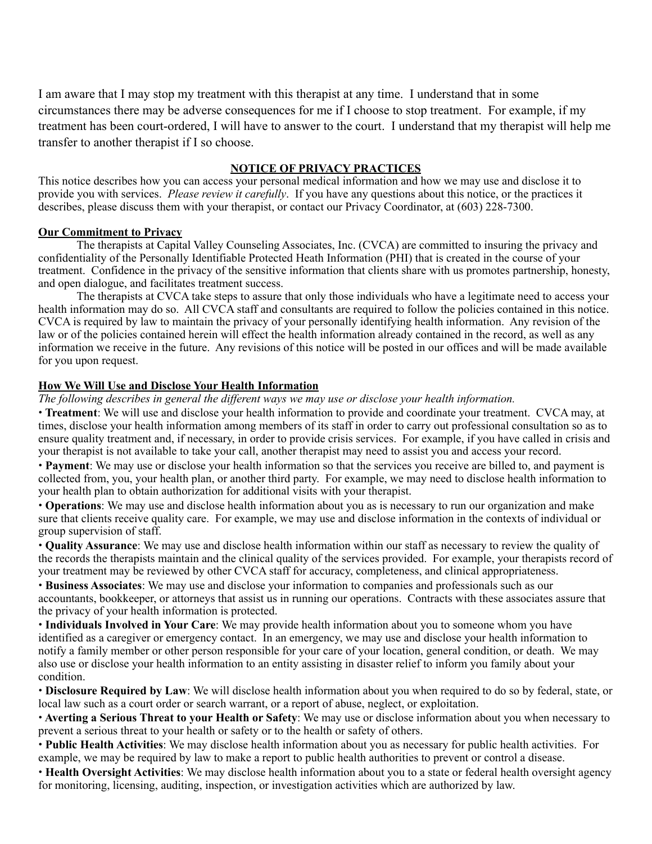I am aware that I may stop my treatment with this therapist at any time. I understand that in some circumstances there may be adverse consequences for me if I choose to stop treatment. For example, if my treatment has been court-ordered, I will have to answer to the court. I understand that my therapist will help me transfer to another therapist if I so choose.

#### **NOTICE OF PRIVACY PRACTICES**

This notice describes how you can access your personal medical information and how we may use and disclose it to provide you with services. *Please review it carefully*. If you have any questions about this notice, or the practices it describes, please discuss them with your therapist, or contact our Privacy Coordinator, at (603) 228-7300.

#### **Our Commitment to Privacy**

The therapists at Capital Valley Counseling Associates, Inc. (CVCA) are committed to insuring the privacy and confidentiality of the Personally Identifiable Protected Heath Information (PHI) that is created in the course of your treatment. Confidence in the privacy of the sensitive information that clients share with us promotes partnership, honesty, and open dialogue, and facilitates treatment success.

The therapists at CVCA take steps to assure that only those individuals who have a legitimate need to access your health information may do so. All CVCA staff and consultants are required to follow the policies contained in this notice. CVCA is required by law to maintain the privacy of your personally identifying health information. Any revision of the law or of the policies contained herein will effect the health information already contained in the record, as well as any information we receive in the future. Any revisions of this notice will be posted in our offices and will be made available for you upon request.

#### **How We Will Use and Disclose Your Health Information**

*The following describes in general the different ways we may use or disclose your health information.*

• **Treatment**: We will use and disclose your health information to provide and coordinate your treatment. CVCA may, at times, disclose your health information among members of its staff in order to carry out professional consultation so as to ensure quality treatment and, if necessary, in order to provide crisis services. For example, if you have called in crisis and your therapist is not available to take your call, another therapist may need to assist you and access your record.

• **Payment**: We may use or disclose your health information so that the services you receive are billed to, and payment is collected from, you, your health plan, or another third party. For example, we may need to disclose health information to your health plan to obtain authorization for additional visits with your therapist.

• **Operations**: We may use and disclose health information about you as is necessary to run our organization and make sure that clients receive quality care. For example, we may use and disclose information in the contexts of individual or group supervision of staff.

• **Quality Assurance**: We may use and disclose health information within our staff as necessary to review the quality of the records the therapists maintain and the clinical quality of the services provided. For example, your therapists record of your treatment may be reviewed by other CVCA staff for accuracy, completeness, and clinical appropriateness.

• **Business Associates**: We may use and disclose your information to companies and professionals such as our accountants, bookkeeper, or attorneys that assist us in running our operations. Contracts with these associates assure that the privacy of your health information is protected.

• **Individuals Involved in Your Care**: We may provide health information about you to someone whom you have identified as a caregiver or emergency contact. In an emergency, we may use and disclose your health information to notify a family member or other person responsible for your care of your location, general condition, or death. We may also use or disclose your health information to an entity assisting in disaster relief to inform you family about your condition.

• **Disclosure Required by Law**: We will disclose health information about you when required to do so by federal, state, or local law such as a court order or search warrant, or a report of abuse, neglect, or exploitation.

• **Averting a Serious Threat to your Health or Safety**: We may use or disclose information about you when necessary to prevent a serious threat to your health or safety or to the health or safety of others.

• **Public Health Activities**: We may disclose health information about you as necessary for public health activities. For example, we may be required by law to make a report to public health authorities to prevent or control a disease.

• **Health Oversight Activities**: We may disclose health information about you to a state or federal health oversight agency for monitoring, licensing, auditing, inspection, or investigation activities which are authorized by law.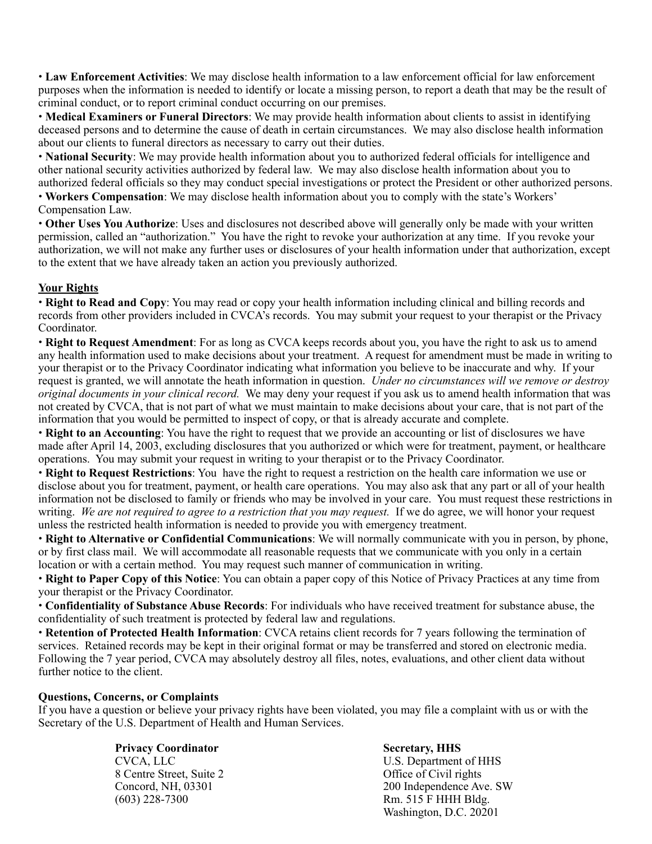• **Law Enforcement Activities**: We may disclose health information to a law enforcement official for law enforcement purposes when the information is needed to identify or locate a missing person, to report a death that may be the result of criminal conduct, or to report criminal conduct occurring on our premises.

• **Medical Examiners or Funeral Directors**: We may provide health information about clients to assist in identifying deceased persons and to determine the cause of death in certain circumstances. We may also disclose health information about our clients to funeral directors as necessary to carry out their duties.

• **National Security**: We may provide health information about you to authorized federal officials for intelligence and other national security activities authorized by federal law. We may also disclose health information about you to authorized federal officials so they may conduct special investigations or protect the President or other authorized persons.

• **Workers Compensation**: We may disclose health information about you to comply with the state's Workers' Compensation Law.

• **Other Uses You Authorize**: Uses and disclosures not described above will generally only be made with your written permission, called an "authorization." You have the right to revoke your authorization at any time. If you revoke your authorization, we will not make any further uses or disclosures of your health information under that authorization, except to the extent that we have already taken an action you previously authorized.

## **Your Rights**

• **Right to Read and Copy**: You may read or copy your health information including clinical and billing records and records from other providers included in CVCA's records. You may submit your request to your therapist or the Privacy Coordinator.

• **Right to Request Amendment**: For as long as CVCA keeps records about you, you have the right to ask us to amend any health information used to make decisions about your treatment. A request for amendment must be made in writing to your therapist or to the Privacy Coordinator indicating what information you believe to be inaccurate and why. If your request is granted, we will annotate the heath information in question. *Under no circumstances will we remove or destroy original documents in your clinical record.* We may deny your request if you ask us to amend health information that was not created by CVCA, that is not part of what we must maintain to make decisions about your care, that is not part of the information that you would be permitted to inspect of copy, or that is already accurate and complete.

• **Right to an Accounting**: You have the right to request that we provide an accounting or list of disclosures we have made after April 14, 2003, excluding disclosures that you authorized or which were for treatment, payment, or healthcare operations. You may submit your request in writing to your therapist or to the Privacy Coordinator.

• **Right to Request Restrictions**: You have the right to request a restriction on the health care information we use or disclose about you for treatment, payment, or health care operations. You may also ask that any part or all of your health information not be disclosed to family or friends who may be involved in your care. You must request these restrictions in writing. *We are not required to agree to a restriction that you may request.* If we do agree, we will honor your request unless the restricted health information is needed to provide you with emergency treatment.

• **Right to Alternative or Confidential Communications**: We will normally communicate with you in person, by phone, or by first class mail. We will accommodate all reasonable requests that we communicate with you only in a certain location or with a certain method. You may request such manner of communication in writing.

• **Right to Paper Copy of this Notice**: You can obtain a paper copy of this Notice of Privacy Practices at any time from your therapist or the Privacy Coordinator.

• **Confidentiality of Substance Abuse Records**: For individuals who have received treatment for substance abuse, the confidentiality of such treatment is protected by federal law and regulations.

• **Retention of Protected Health Information**: CVCA retains client records for 7 years following the termination of services. Retained records may be kept in their original format or may be transferred and stored on electronic media. Following the 7 year period, CVCA may absolutely destroy all files, notes, evaluations, and other client data without further notice to the client.

#### **Questions, Concerns, or Complaints**

If you have a question or believe your privacy rights have been violated, you may file a complaint with us or with the Secretary of the U.S. Department of Health and Human Services.

## **Privacy Coordinator Secretary, HHS**

8 Centre Street, Suite 2 Office of Civil rights

CVCA, LLC U.S. Department of HHS Concord, NH, 03301 200 Independence Ave. SW (603) 228-7300 Rm. 515 F HHH Bldg. Washington, D.C. 20201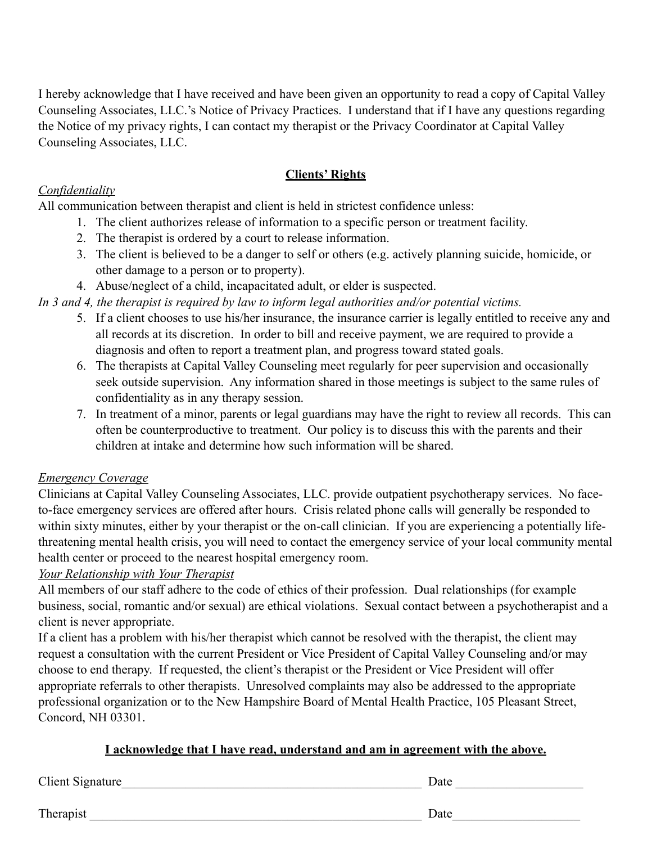I hereby acknowledge that I have received and have been given an opportunity to read a copy of Capital Valley Counseling Associates, LLC.'s Notice of Privacy Practices. I understand that if I have any questions regarding the Notice of my privacy rights, I can contact my therapist or the Privacy Coordinator at Capital Valley Counseling Associates, LLC.

## **Clients' Rights**

## *Confidentiality*

All communication between therapist and client is held in strictest confidence unless:

- 1. The client authorizes release of information to a specific person or treatment facility.
- 2. The therapist is ordered by a court to release information.
- 3. The client is believed to be a danger to self or others (e.g. actively planning suicide, homicide, or other damage to a person or to property).
- 4. Abuse/neglect of a child, incapacitated adult, or elder is suspected.

*In 3 and 4, the therapist is required by law to inform legal authorities and/or potential victims.*

- 5. If a client chooses to use his/her insurance, the insurance carrier is legally entitled to receive any and all records at its discretion. In order to bill and receive payment, we are required to provide a diagnosis and often to report a treatment plan, and progress toward stated goals.
- 6. The therapists at Capital Valley Counseling meet regularly for peer supervision and occasionally seek outside supervision. Any information shared in those meetings is subject to the same rules of confidentiality as in any therapy session.
- 7. In treatment of a minor, parents or legal guardians may have the right to review all records. This can often be counterproductive to treatment. Our policy is to discuss this with the parents and their children at intake and determine how such information will be shared.

## *Emergency Coverage*

Clinicians at Capital Valley Counseling Associates, LLC. provide outpatient psychotherapy services. No faceto-face emergency services are offered after hours. Crisis related phone calls will generally be responded to within sixty minutes, either by your therapist or the on-call clinician. If you are experiencing a potentially lifethreatening mental health crisis, you will need to contact the emergency service of your local community mental health center or proceed to the nearest hospital emergency room.

## *Your Relationship with Your Therapist*

All members of our staff adhere to the code of ethics of their profession. Dual relationships (for example business, social, romantic and/or sexual) are ethical violations. Sexual contact between a psychotherapist and a client is never appropriate.

If a client has a problem with his/her therapist which cannot be resolved with the therapist, the client may request a consultation with the current President or Vice President of Capital Valley Counseling and/or may choose to end therapy. If requested, the client's therapist or the President or Vice President will offer appropriate referrals to other therapists. Unresolved complaints may also be addressed to the appropriate professional organization or to the New Hampshire Board of Mental Health Practice, 105 Pleasant Street, Concord, NH 03301.

## **I acknowledge that I have read, understand and am in agreement with the above.**

Client Signature\_\_\_\_\_\_\_\_\_\_\_\_\_\_\_\_\_\_\_\_\_\_\_\_\_\_\_\_\_\_\_\_\_\_\_\_\_\_\_\_\_\_\_\_\_\_\_ Date \_\_\_\_\_\_\_\_\_\_\_\_\_\_\_\_\_\_\_\_

Therapist \_\_\_\_\_\_\_\_\_\_\_\_\_\_\_\_\_\_\_\_\_\_\_\_\_\_\_\_\_\_\_\_\_\_\_\_\_\_\_\_\_\_\_\_\_\_\_\_\_\_\_\_ Date\_\_\_\_\_\_\_\_\_\_\_\_\_\_\_\_\_\_\_\_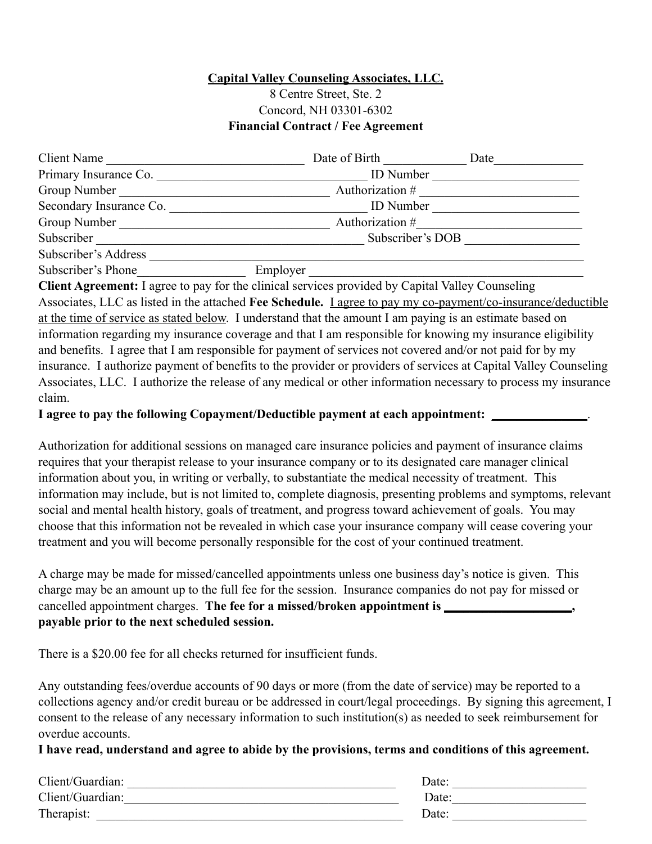## **Capital Valley Counseling Associates, LLC.**

## 8 Centre Street, Ste. 2 Concord, NH 03301-6302 **Financial Contract / Fee Agreement**

| Client Name             |          | Date of Birth    | Date |  |
|-------------------------|----------|------------------|------|--|
| Primary Insurance Co.   |          | <b>ID</b> Number |      |  |
| Group Number            |          | Authorization #  |      |  |
| Secondary Insurance Co. |          | <b>ID</b> Number |      |  |
| Group Number            |          | Authorization #  |      |  |
| Subscriber              |          | Subscriber's DOB |      |  |
| Subscriber's Address    |          |                  |      |  |
| Subscriber's Phone      | Employer |                  |      |  |

**Client Agreement:** I agree to pay for the clinical services provided by Capital Valley Counseling Associates, LLC as listed in the attached **Fee Schedule.** I agree to pay my co-payment/co-insurance/deductible at the time of service as stated below. I understand that the amount I am paying is an estimate based on information regarding my insurance coverage and that I am responsible for knowing my insurance eligibility and benefits. I agree that I am responsible for payment of services not covered and/or not paid for by my insurance. I authorize payment of benefits to the provider or providers of services at Capital Valley Counseling Associates, LLC. I authorize the release of any medical or other information necessary to process my insurance claim.

**I** agree to pay the following Copayment/Deductible payment at each appointment:

Authorization for additional sessions on managed care insurance policies and payment of insurance claims requires that your therapist release to your insurance company or to its designated care manager clinical information about you, in writing or verbally, to substantiate the medical necessity of treatment. This information may include, but is not limited to, complete diagnosis, presenting problems and symptoms, relevant social and mental health history, goals of treatment, and progress toward achievement of goals. You may choose that this information not be revealed in which case your insurance company will cease covering your treatment and you will become personally responsible for the cost of your continued treatment.

A charge may be made for missed/cancelled appointments unless one business day's notice is given. This charge may be an amount up to the full fee for the session. Insurance companies do not pay for missed or cancelled appointment charges. The fee for a missed/broken appointment is \_\_\_\_\_\_\_\_\_\_\_\_\_ **payable prior to the next scheduled session.** 

There is a \$20.00 fee for all checks returned for insufficient funds.

Any outstanding fees/overdue accounts of 90 days or more (from the date of service) may be reported to a collections agency and/or credit bureau or be addressed in court/legal proceedings. By signing this agreement, I consent to the release of any necessary information to such institution(s) as needed to seek reimbursement for overdue accounts.

**I have read, understand and agree to abide by the provisions, terms and conditions of this agreement.** 

| Client/Guardian: | Date: |
|------------------|-------|
| Client/Guardian: | Date: |
| Therapist:       | Date: |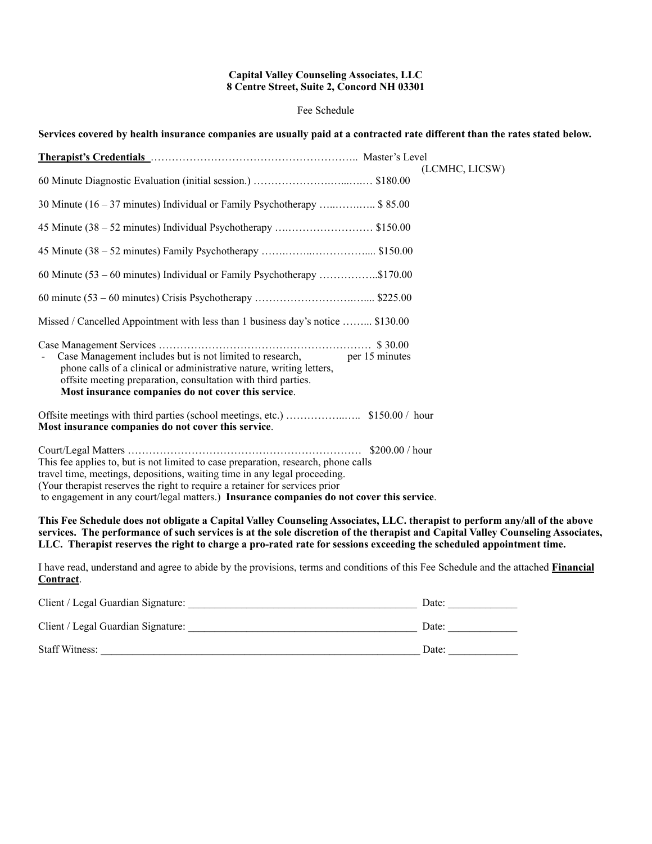#### **Capital Valley Counseling Associates, LLC 8 Centre Street, Suite 2, Concord NH 03301**

#### Fee Schedule

**Services covered by health insurance companies are usually paid at a contracted rate different than the rates stated below.**

|                                                                                                                                                                                                                                                                                                                                             | (LCMHC, LICSW) |
|---------------------------------------------------------------------------------------------------------------------------------------------------------------------------------------------------------------------------------------------------------------------------------------------------------------------------------------------|----------------|
| 30 Minute (16 – 37 minutes) Individual or Family Psychotherapy  \$ 85.00                                                                                                                                                                                                                                                                    |                |
|                                                                                                                                                                                                                                                                                                                                             |                |
|                                                                                                                                                                                                                                                                                                                                             |                |
| 60 Minute $(53 - 60$ minutes) Individual or Family Psychotherapy \$170.00                                                                                                                                                                                                                                                                   |                |
|                                                                                                                                                                                                                                                                                                                                             |                |
| Missed / Cancelled Appointment with less than 1 business day's notice  \$130.00                                                                                                                                                                                                                                                             |                |
| Case Management includes but is not limited to research, per 15 minutes<br>phone calls of a clinical or administrative nature, writing letters,<br>offsite meeting preparation, consultation with third parties.<br>Most insurance companies do not cover this service.                                                                     |                |
| Most insurance companies do not cover this service.                                                                                                                                                                                                                                                                                         |                |
| This fee applies to, but is not limited to case preparation, research, phone calls<br>travel time, meetings, depositions, waiting time in any legal proceeding.<br>(Your therapist reserves the right to require a retainer for services prior<br>to engagement in any court/legal matters.) Insurance companies do not cover this service. |                |
|                                                                                                                                                                                                                                                                                                                                             |                |

**This Fee Schedule does not obligate a Capital Valley Counseling Associates, LLC. therapist to perform any/all of the above services. The performance of such services is at the sole discretion of the therapist and Capital Valley Counseling Associates, LLC. Therapist reserves the right to charge a pro-rated rate for sessions exceeding the scheduled appointment time.** 

I have read, understand and agree to abide by the provisions, terms and conditions of this Fee Schedule and the attached **Financial Contract**.

| Client / Legal Guardian Signature: | Date: |
|------------------------------------|-------|
| Client / Legal Guardian Signature: | Date: |
| <b>Staff Witness:</b>              | Date: |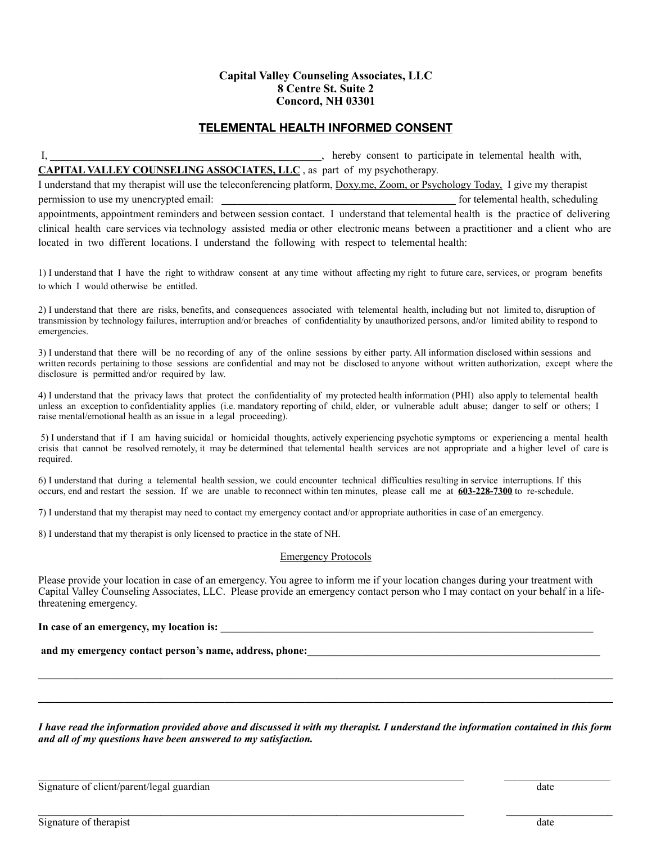#### **Capital Valley Counseling Associates, LLC 8 Centre St. Suite 2 Concord, NH 03301**

#### **TELEMENTAL HEALTH INFORMED CONSENT**

I, **Letter in the set of the set of the set of the set of the set of the set of the set of the set of the set of the set of the set of the set of the set of the set of the set of the set of the set of the set of the set of CAPITAL VALLEY COUNSELING ASSOCIATES, LLC** , as part of my psychotherapy.

I understand that my therapist will use the teleconferencing platform, Doxy.me, Zoom, or Psychology Today, I give my therapist permission to use my unencrypted email: *permission* to use my unencrypted email: *permission* to use my unencrypted email: appointments, appointment reminders and between session contact. I understand that telemental health is the practice of delivering clinical health care services via technology assisted media or other electronic means between a practitioner and a client who are located in two different locations. I understand the following with respect to telemental health:

1) I understand that I have the right to withdraw consent at any time without affecting my right to future care, services, or program benefits to which I would otherwise be entitled.

2) I understand that there are risks, benefits, and consequences associated with telemental health, including but not limited to, disruption of transmission by technology failures, interruption and/or breaches of confidentiality by unauthorized persons, and/or limited ability to respond to emergencies.

3) I understand that there will be no recording of any of the online sessions by either party. All information disclosed within sessions and written records pertaining to those sessions are confidential and may not be disclosed to anyone without written authorization, except where the disclosure is permitted and/or required by law.

4) I understand that the privacy laws that protect the confidentiality of my protected health information (PHI) also apply to telemental health unless an exception to confidentiality applies (i.e. mandatory reporting of child, elder, or vulnerable adult abuse; danger to self or others; I raise mental/emotional health as an issue in a legal proceeding).

 5) I understand that if I am having suicidal or homicidal thoughts, actively experiencing psychotic symptoms or experiencing a mental health crisis that cannot be resolved remotely, it may be determined that telemental health services are not appropriate and a higher level of care is required.

6) I understand that during a telemental health session, we could encounter technical difficulties resulting in service interruptions. If this occurs, end and restart the session. If we are unable to reconnect within ten minutes, please call me at **603-228-7300** to re-schedule.

7) I understand that my therapist may need to contact my emergency contact and/or appropriate authorities in case of an emergency.

8) I understand that my therapist is only licensed to practice in the state of NH.

#### Emergency Protocols

Please provide your location in case of an emergency. You agree to inform me if your location changes during your treatment with Capital Valley Counseling Associates, LLC. Please provide an emergency contact person who I may contact on your behalf in a lifethreatening emergency.

#### In case of an emergency, my location is:

and my emergency contact person's name, address, phone:

*I have read the information provided above and discussed it with my therapist. I understand the information contained in this form and all of my questions have been answered to my satisfaction.*

 $\mathcal{L}_\mathcal{L} = \{ \mathcal{L}_\mathcal{L} = \{ \mathcal{L}_\mathcal{L} = \{ \mathcal{L}_\mathcal{L} = \{ \mathcal{L}_\mathcal{L} = \{ \mathcal{L}_\mathcal{L} = \{ \mathcal{L}_\mathcal{L} = \{ \mathcal{L}_\mathcal{L} = \{ \mathcal{L}_\mathcal{L} = \{ \mathcal{L}_\mathcal{L} = \{ \mathcal{L}_\mathcal{L} = \{ \mathcal{L}_\mathcal{L} = \{ \mathcal{L}_\mathcal{L} = \{ \mathcal{L}_\mathcal{L} = \{ \mathcal{L}_\mathcal{$ 

 $\mathcal{L}_\mathcal{L} = \mathcal{L}_\mathcal{L} = \mathcal{L}_\mathcal{L} = \mathcal{L}_\mathcal{L} = \mathcal{L}_\mathcal{L} = \mathcal{L}_\mathcal{L} = \mathcal{L}_\mathcal{L} = \mathcal{L}_\mathcal{L} = \mathcal{L}_\mathcal{L} = \mathcal{L}_\mathcal{L} = \mathcal{L}_\mathcal{L} = \mathcal{L}_\mathcal{L} = \mathcal{L}_\mathcal{L} = \mathcal{L}_\mathcal{L} = \mathcal{L}_\mathcal{L} = \mathcal{L}_\mathcal{L} = \mathcal{L}_\mathcal{L}$ 

**\_\_\_\_\_\_\_\_\_\_\_\_\_\_\_\_\_\_\_\_\_\_\_\_\_\_\_\_\_\_\_\_\_\_\_\_\_\_\_\_\_\_\_\_\_\_\_\_\_\_\_\_\_\_\_\_\_\_\_\_\_\_\_\_\_\_\_\_\_\_\_\_\_\_\_\_\_\_\_\_\_\_\_\_\_\_\_\_\_\_\_\_\_\_\_\_\_\_\_\_\_\_\_\_\_\_\_\_**

Signature of client/parent/legal guardian date date of the state of client of client date date date of the state of the state of the state of the state of the state of the state of the state of the state of the state of th